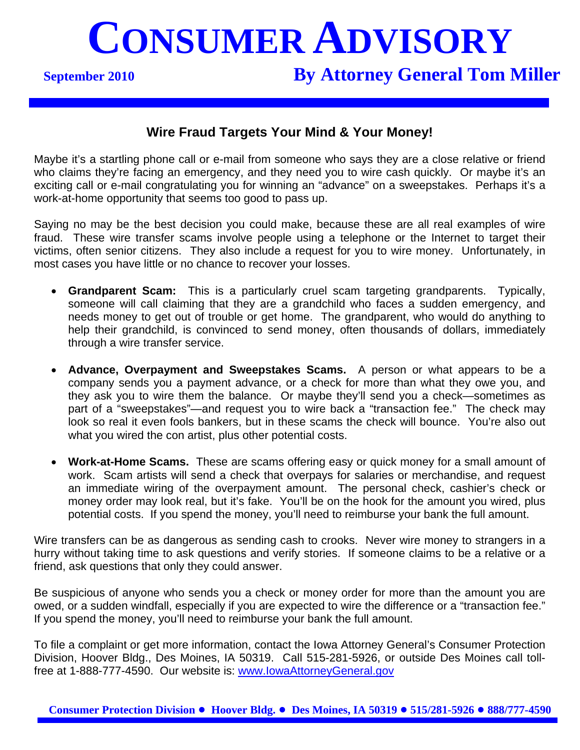# **CONSUMER ADVISORY**

### **September 2010 By Attorney General Tom Miller**

#### **Wire Fraud Targets Your Mind & Your Money!**

Maybe it's a startling phone call or e-mail from someone who says they are a close relative or friend who claims they're facing an emergency, and they need you to wire cash quickly. Or maybe it's an exciting call or e-mail congratulating you for winning an "advance" on a sweepstakes. Perhaps it's a work-at-home opportunity that seems too good to pass up.

Saying no may be the best decision you could make, because these are all real examples of wire fraud. These wire transfer scams involve people using a telephone or the Internet to target their victims, often senior citizens. They also include a request for you to wire money. Unfortunately, in most cases you have little or no chance to recover your losses.

- **Grandparent Scam:** This is a particularly cruel scam targeting grandparents. Typically, someone will call claiming that they are a grandchild who faces a sudden emergency, and needs money to get out of trouble or get home. The grandparent, who would do anything to help their grandchild, is convinced to send money, often thousands of dollars, immediately through a wire transfer service.
- **Advance, Overpayment and Sweepstakes Scams.** A person or what appears to be a company sends you a payment advance, or a check for more than what they owe you, and they ask you to wire them the balance. Or maybe they'll send you a check—sometimes as part of a "sweepstakes"—and request you to wire back a "transaction fee." The check may look so real it even fools bankers, but in these scams the check will bounce. You're also out what you wired the con artist, plus other potential costs.
- **Work-at-Home Scams.** These are scams offering easy or quick money for a small amount of work. Scam artists will send a check that overpays for salaries or merchandise, and request an immediate wiring of the overpayment amount. The personal check, cashier's check or money order may look real, but it's fake. You'll be on the hook for the amount you wired, plus potential costs. If you spend the money, you'll need to reimburse your bank the full amount.

Wire transfers can be as dangerous as sending cash to crooks. Never wire money to strangers in a hurry without taking time to ask questions and verify stories. If someone claims to be a relative or a friend, ask questions that only they could answer.

Be suspicious of anyone who sends you a check or money order for more than the amount you are owed, or a sudden windfall, especially if you are expected to wire the difference or a "transaction fee." If you spend the money, you'll need to reimburse your bank the full amount.

To file a complaint or get more information, contact the Iowa Attorney General's Consumer Protection Division, Hoover Bldg., Des Moines, IA 50319. Call 515-281-5926, or outside Des Moines call tollfree at 1-888-777-4590. Our website is: www.IowaAttorneyGeneral.gov